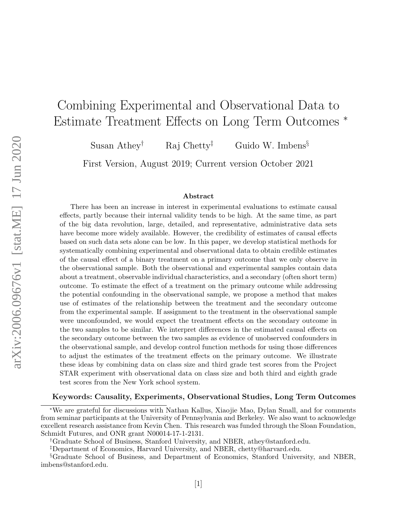# Combining Experimental and Observational Data to Estimate Treatment Effects on Long Term Outcomes <sup>∗</sup>

Susan Athey<sup>†</sup> Raj Chetty<sup>‡</sup> Guido W. Imbens<sup>§</sup>

First Version, August 2019; Current version October 2021

#### Abstract

There has been an increase in interest in experimental evaluations to estimate causal effects, partly because their internal validity tends to be high. At the same time, as part of the big data revolution, large, detailed, and representative, administrative data sets have become more widely available. However, the credibility of estimates of causal effects based on such data sets alone can be low. In this paper, we develop statistical methods for systematically combining experimental and observational data to obtain credible estimates of the causal effect of a binary treatment on a primary outcome that we only observe in the observational sample. Both the observational and experimental samples contain data about a treatment, observable individual characteristics, and a secondary (often short term) outcome. To estimate the effect of a treatment on the primary outcome while addressing the potential confounding in the observational sample, we propose a method that makes use of estimates of the relationship between the treatment and the secondary outcome from the experimental sample. If assignment to the treatment in the observational sample were unconfounded, we would expect the treatment effects on the secondary outcome in the two samples to be similar. We interpret differences in the estimated causal effects on the secondary outcome between the two samples as evidence of unobserved confounders in the observational sample, and develop control function methods for using those differences to adjust the estimates of the treatment effects on the primary outcome. We illustrate these ideas by combining data on class size and third grade test scores from the Project STAR experiment with observational data on class size and both third and eighth grade test scores from the New York school system.

#### Keywords: Causality, Experiments, Observational Studies, Long Term Outcomes

<sup>∗</sup>We are grateful for discussions with Nathan Kallus, Xiaojie Mao, Dylan Small, and for comments from seminar participants at the University of Pennsylvania and Berkeley. We also want to acknowledge excellent research assistance from Kevin Chen. This research was funded through the Sloan Foundation, Schmidt Futures, and ONR grant N00014-17-1-2131.

<sup>†</sup>Graduate School of Business, Stanford University, and NBER, athey@stanford.edu.

<sup>‡</sup>Department of Economics, Harvard University, and NBER, chetty@harvard.edu.

<sup>§</sup>Graduate School of Business, and Department of Economics, Stanford University, and NBER, imbens@stanford.edu.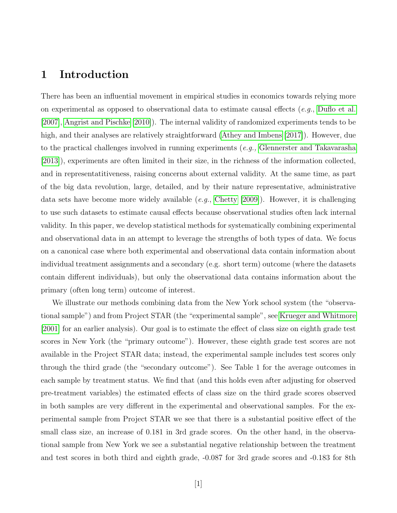# 1 Introduction

There has been an influential movement in empirical studies in economics towards relying more on experimental as opposed to observational data to estimate causal effects (*e.g.*, [Duflo et al.](#page-30-0) [\[2007\]](#page-30-0), [Angrist and Pischke](#page-29-0) [\[2010\]](#page-29-0)). The internal validity of randomized experiments tends to be high, and their analyses are relatively straightforward [\(Athey and Imbens](#page-29-1) [\[2017\]](#page-29-1)). However, due to the practical challenges involved in running experiments (*e.g.*, [Glennerster and Takavarasha](#page-30-1) [\[2013\]](#page-30-1)), experiments are often limited in their size, in the richness of the information collected, and in representatitiveness, raising concerns about external validity. At the same time, as part of the big data revolution, large, detailed, and by their nature representative, administrative data sets have become more widely available (e.g., [Chetty](#page-30-2) [\[2009\]](#page-30-2)). However, it is challenging to use such datasets to estimate causal effects because observational studies often lack internal validity. In this paper, we develop statistical methods for systematically combining experimental and observational data in an attempt to leverage the strengths of both types of data. We focus on a canonical case where both experimental and observational data contain information about individual treatment assignments and a secondary (e.g. short term) outcome (where the datasets contain different individuals), but only the observational data contains information about the primary (often long term) outcome of interest.

We illustrate our methods combining data from the New York school system (the "observational sample") and from Project STAR (the "experimental sample", see [Krueger and Whitmore](#page-31-0) [\[2001\]](#page-31-0) for an earlier analysis). Our goal is to estimate the effect of class size on eighth grade test scores in New York (the "primary outcome"). However, these eighth grade test scores are not available in the Project STAR data; instead, the experimental sample includes test scores only through the third grade (the "secondary outcome"). See Table 1 for the average outcomes in each sample by treatment status. We find that (and this holds even after adjusting for observed pre-treatment variables) the estimated effects of class size on the third grade scores observed in both samples are very different in the experimental and observational samples. For the experimental sample from Project STAR we see that there is a substantial positive effect of the small class size, an increase of 0.181 in 3rd grade scores. On the other hand, in the observational sample from New York we see a substantial negative relationship between the treatment and test scores in both third and eighth grade, -0.087 for 3rd grade scores and -0.183 for 8th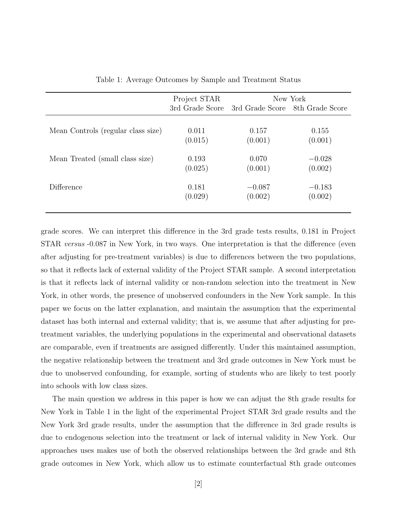|                                    | Project STAR    | New York |                                 |  |
|------------------------------------|-----------------|----------|---------------------------------|--|
|                                    | 3rd Grade Score |          | 3rd Grade Score 8th Grade Score |  |
|                                    |                 |          |                                 |  |
| Mean Controls (regular class size) | 0.011           | 0.157    | 0.155                           |  |
|                                    | (0.015)         | (0.001)  | (0.001)                         |  |
|                                    |                 |          |                                 |  |
| Mean Treated (small class size)    | 0.193           | 0.070    | $-0.028$                        |  |
|                                    | (0.025)         | (0.001)  | (0.002)                         |  |
|                                    |                 |          |                                 |  |
| Difference                         | 0.181           | $-0.087$ | $-0.183$                        |  |
|                                    | (0.029)         | (0.002)  | (0.002)                         |  |
|                                    |                 |          |                                 |  |

<span id="page-2-0"></span>Table 1: Average Outcomes by Sample and Treatment Status

grade scores. We can interpret this difference in the 3rd grade tests results, 0.181 in Project STAR versus -0.087 in New York, in two ways. One interpretation is that the difference (even after adjusting for pre-treatment variables) is due to differences between the two populations, so that it reflects lack of external validity of the Project STAR sample. A second interpretation is that it reflects lack of internal validity or non-random selection into the treatment in New York, in other words, the presence of unobserved confounders in the New York sample. In this paper we focus on the latter explanation, and maintain the assumption that the experimental dataset has both internal and external validity; that is, we assume that after adjusting for pretreatment variables, the underlying populations in the experimental and observational datasets are comparable, even if treatments are assigned differently. Under this maintained assumption, the negative relationship between the treatment and 3rd grade outcomes in New York must be due to unobserved confounding, for example, sorting of students who are likely to test poorly into schools with low class sizes.

The main question we address in this paper is how we can adjust the 8th grade results for New York in Table 1 in the light of the experimental Project STAR 3rd grade results and the New York 3rd grade results, under the assumption that the difference in 3rd grade results is due to endogenous selection into the treatment or lack of internal validity in New York. Our approaches uses makes use of both the observed relationships between the 3rd grade and 8th grade outcomes in New York, which allow us to estimate counterfactual 8th grade outcomes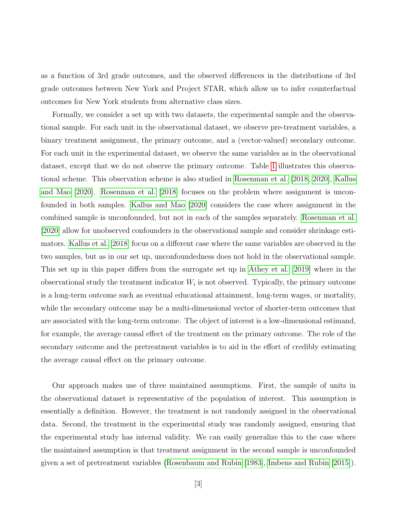as a function of 3rd grade outcomes, and the observed differences in the distributions of 3rd grade outcomes between New York and Project STAR, which allow us to infer counterfactual outcomes for New York students from alternative class sizes.

Formally, we consider a set up with two datasets, the experimental sample and the observational sample. For each unit in the observational dataset, we observe pre-treatment variables, a binary treatment assignment, the primary outcome, and a (vector-valued) secondary outcome. For each unit in the experimental dataset, we observe the same variables as in the observational dataset, except that we do not observe the primary outcome. Table [1](#page-2-0) illustrates this observational scheme. This observation scheme is also studied in [Rosenman et al.](#page-32-0) [\[2018,](#page-32-0) [2020\]](#page-32-1), [Kallus](#page-31-1) [and Mao](#page-31-1) [\[2020\]](#page-31-1). [Rosenman et al.](#page-32-0) [\[2018\]](#page-32-0) focuses on the problem where assignment is unconfounded in both samples. [Kallus and Mao](#page-31-1) [\[2020\]](#page-31-1) considers the case where assignment in the combined sample is unconfounded, but not in each of the samples separately. [Rosenman et al.](#page-32-1) [\[2020\]](#page-32-1) allow for unobserved confounders in the observational sample and consider shrinkage estimators. [Kallus et al.](#page-31-2) [\[2018\]](#page-31-2) focus on a different case where the same variables are observed in the two samples, but as in our set up, unconfoundedness does not hold in the observational sample. This set up in this paper differs from the surrogate set up in [Athey et al.](#page-29-2) [\[2019\]](#page-29-2) where in the observational study the treatment indicator  $W_i$  is not observed. Typically, the primary outcome is a long-term outcome such as eventual educational attainment, long-term wages, or mortality, while the secondary outcome may be a multi-dimensional vector of shorter-term outcomes that are associated with the long-term outcome. The object of interest is a low-dimensional estimand, for example, the average causal effect of the treatment on the primary outcome. The role of the secondary outcome and the pretreatment variables is to aid in the effort of credibly estimating the average causal effect on the primary outcome.

Our approach makes use of three maintained assumptions. First, the sample of units in the observational dataset is representative of the population of interest. This assumption is essentially a definition. However, the treatment is not randomly assigned in the observational data. Second, the treatment in the experimental study was randomly assigned, ensuring that the experimental study has internal validity. We can easily generalize this to the case where the maintained assumption is that treatment assignment in the second sample is unconfounded given a set of pretreatment variables [\(Rosenbaum and Rubin](#page-32-2) [\[1983\]](#page-32-2), [Imbens and Rubin](#page-31-3) [\[2015\]](#page-31-3)).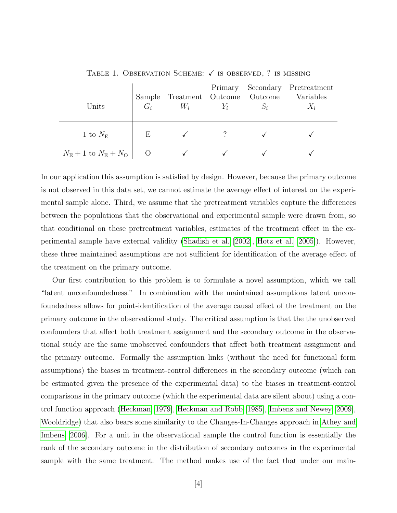| Units                                      | Sample<br>$G_i$ | Treatment Outcome Outcome<br>$W_i$ | $Y_i$ | $S_i$ | Primary Secondary Pretreatment<br>Variables<br>$X_i$ |
|--------------------------------------------|-----------------|------------------------------------|-------|-------|------------------------------------------------------|
| 1 to $N_{\rm E}$                           | Ε               |                                    |       |       |                                                      |
| $N_{\rm E}+1$ to $N_{\rm E}+N_{\rm O}$   O |                 |                                    |       |       |                                                      |

TABLE 1. OBSERVATION SCHEME:  $\checkmark$  is observed, ? is missing

In our application this assumption is satisfied by design. However, because the primary outcome is not observed in this data set, we cannot estimate the average effect of interest on the experimental sample alone. Third, we assume that the pretreatment variables capture the differences between the populations that the observational and experimental sample were drawn from, so that conditional on these pretreatment variables, estimates of the treatment effect in the experimental sample have external validity [\(Shadish et al.](#page-32-3) [\[2002\]](#page-32-3), [Hotz et al.](#page-30-3) [\[2005\]](#page-30-3)). However, these three maintained assumptions are not sufficient for identification of the average effect of the treatment on the primary outcome.

Our first contribution to this problem is to formulate a novel assumption, which we call "latent unconfoundedness." In combination with the maintained assumptions latent unconfoundedness allows for point-identification of the average causal effect of the treatment on the primary outcome in the observational study. The critical assumption is that the the unobserved confounders that affect both treatment assignment and the secondary outcome in the observational study are the same unobserved confounders that affect both treatment assignment and the primary outcome. Formally the assumption links (without the need for functional form assumptions) the biases in treatment-control differences in the secondary outcome (which can be estimated given the presence of the experimental data) to the biases in treatment-control comparisons in the primary outcome (which the experimental data are silent about) using a control function approach [\(Heckman](#page-30-4) [\[1979\]](#page-30-4), [Heckman and Robb](#page-30-5) [\[1985\]](#page-30-5), [Imbens and Newey](#page-31-4) [\[2009\]](#page-31-4), [Wooldridge\)](#page-32-4) that also bears some similarity to the Changes-In-Changes approach in [Athey and](#page-29-3) [Imbens](#page-29-3) [\[2006\]](#page-29-3). For a unit in the observational sample the control function is essentially the rank of the secondary outcome in the distribution of secondary outcomes in the experimental sample with the same treatment. The method makes use of the fact that under our main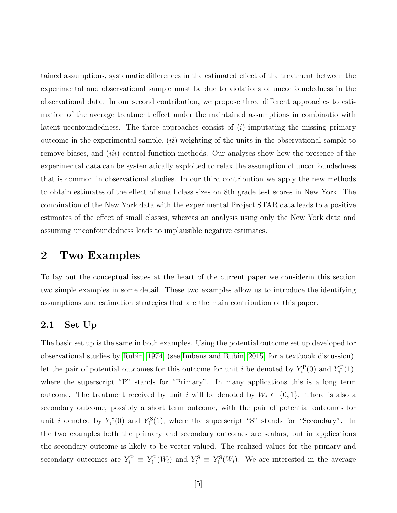tained assumptions, systematic differences in the estimated effect of the treatment between the experimental and observational sample must be due to violations of unconfoundedness in the observational data. In our second contribution, we propose three different approaches to estimation of the average treatment effect under the maintained assumptions in combinatio with latent uconfoundedness. The three approaches consist of  $(i)$  imputating the missing primary outcome in the experimental sample,  $(ii)$  weighting of the units in the observational sample to remove biases, and *(iii)* control function methods. Our analyses show how the presence of the experimental data can be systematically exploited to relax the assumption of unconfoundedness that is common in observational studies. In our third contribution we apply the new methods to obtain estimates of the effect of small class sizes on 8th grade test scores in New York. The combination of the New York data with the experimental Project STAR data leads to a positive estimates of the effect of small classes, whereas an analysis using only the New York data and assuming unconfoundedness leads to implausible negative estimates.

# <span id="page-5-0"></span>2 Two Examples

To lay out the conceptual issues at the heart of the current paper we considerin this section two simple examples in some detail. These two examples allow us to introduce the identifying assumptions and estimation strategies that are the main contribution of this paper.

### 2.1 Set Up

The basic set up is the same in both examples. Using the potential outcome set up developed for observational studies by [Rubin](#page-32-5) [\[1974\]](#page-32-5) (see [Imbens and Rubin](#page-31-3) [\[2015\]](#page-31-3) for a textbook discussion), let the pair of potential outcomes for this outcome for unit *i* be denoted by  $Y_i^{\text{P}}(0)$  and  $Y_i^{\text{P}}(1)$ , where the superscript "P" stands for "Primary". In many applications this is a long term outcome. The treatment received by unit i will be denoted by  $W_i \in \{0, 1\}$ . There is also a secondary outcome, possibly a short term outcome, with the pair of potential outcomes for unit *i* denoted by  $Y_i^{\rm S}(0)$  and  $Y_i^{\rm S}(1)$ , where the superscript "S" stands for "Secondary". In the two examples both the primary and secondary outcomes are scalars, but in applications the secondary outcome is likely to be vector-valued. The realized values for the primary and secondary outcomes are  $Y_i^{\text{P}} \equiv Y_i^{\text{P}}(W_i)$  and  $Y_i^{\text{S}} \equiv Y_i^{\text{S}}(W_i)$ . We are interested in the average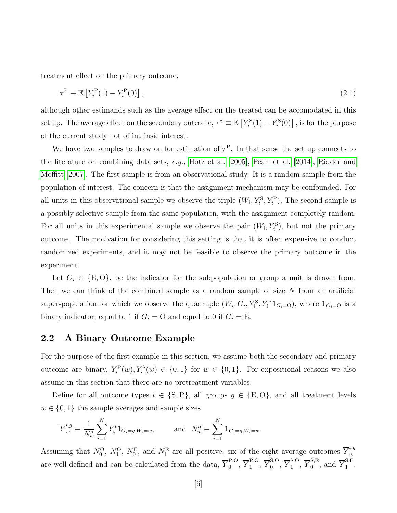treatment effect on the primary outcome,

$$
\tau^{\mathcal{P}} \equiv \mathbb{E}\left[Y_i^{\mathcal{P}}(1) - Y_i^{\mathcal{P}}(0)\right],\tag{2.1}
$$

although other estimands such as the average effect on the treated can be accomodated in this set up. The average effect on the secondary outcome,  $\tau^{\rm S} \equiv \mathbb{E}\left[Y^{\rm S}_i(1) - Y^{\rm S}_i(0)\right]$ , is for the purpose of the current study not of intrinsic interest.

We have two samples to draw on for estimation of  $\tau^P$ . In that sense the set up connects to the literature on combining data sets, e.g., [Hotz et al.](#page-30-3) [\[2005\]](#page-30-3), [Pearl et al.](#page-32-6) [\[2014\]](#page-32-6), [Ridder and](#page-32-7) [Moffitt](#page-32-7) [\[2007\]](#page-32-7). The first sample is from an observational study. It is a random sample from the population of interest. The concern is that the assignment mechanism may be confounded. For all units in this observational sample we observe the triple  $(W_i, Y_i^S, Y_i^P)$ , The second sample is a possibly selective sample from the same population, with the assignment completely random. For all units in this experimental sample we observe the pair  $(W_i, Y_i^{\rm S})$ , but not the primary outcome. The motivation for considering this setting is that it is often expensive to conduct randomized experiments, and it may not be feasible to observe the primary outcome in the experiment.

Let  $G_i \in \{E, O\}$ , be the indicator for the subpopulation or group a unit is drawn from. Then we can think of the combined sample as a random sample of size  $N$  from an artificial super-population for which we observe the quadruple  $(W_i, G_i, Y_i^S, Y_i^P \mathbf{1}_{G_i=0})$ , where  $\mathbf{1}_{G_i=0}$  is a binary indicator, equal to 1 if  $G_i = O$  and equal to 0 if  $G_i = E$ .

### 2.2 A Binary Outcome Example

For the purpose of the first example in this section, we assume both the secondary and primary outcome are binary,  $Y_i^{\text{P}}(w), Y_i^{\text{S}}(w) \in \{0, 1\}$  for  $w \in \{0, 1\}$ . For expositional reasons we also assume in this section that there are no pretreatment variables.

Define for all outcome types  $t \in \{S, P\}$ , all groups  $g \in \{E, O\}$ , and all treatment levels  $w \in \{0, 1\}$  the sample averages and sample sizes

$$
\overline{Y}^{t,g}_w \equiv \frac{1}{N_w^g} \sum_{i=1}^N Y^t_i \mathbf{1}_{G_i = g, W_i = w}, \quad \text{and} \quad N_w^g \equiv \sum_{i=1}^N \mathbf{1}_{G_i = g, W_i = w}.
$$

Assuming that  $N_0^{\rm O}$ ,  $N_1^{\rm O}$ ,  $N_0^{\rm E}$ , and  $N_1^{\rm E}$  are all positive, six of the eight average outcomes  $\overline{Y}^{t,g}_w$ w are well-defined and can be calculated from the data,  $\overline{Y}^{P,O}_{0}$  $_0^{\text{P,O}}, \overline{Y}_1^{\text{P,O}}$  $_1^{\text{P,O}}, \overline{Y}_0^{\text{S,O}}$  $_0^{\text{S,O}}, \overline{Y}_1^{\text{S,O}}$  $_{1}^{\text{S,O}},\overline{Y}_{0}^{\text{S,E}}$  $_{0}^{\text{S,E}},$  and  $\overline{Y}_{1}^{\text{S,E}}$ .,ມ<br>1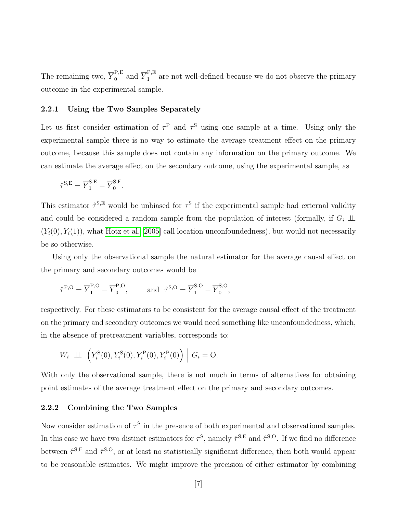The remaining two,  $\overline{Y}^{\text{P,E}}_0$  $_{0}^{\mathrm{P},\mathrm{E}}$  and  $\overline{Y}_{1}^{\mathrm{P},\mathrm{E}}$  $\frac{1}{1}$  are not well-defined because we do not observe the primary outcome in the experimental sample.

#### 2.2.1 Using the Two Samples Separately

Let us first consider estimation of  $\tau^{\text{P}}$  and  $\tau^{\text{S}}$  using one sample at a time. Using only the experimental sample there is no way to estimate the average treatment effect on the primary outcome, because this sample does not contain any information on the primary outcome. We can estimate the average effect on the secondary outcome, using the experimental sample, as

$$
\hat{\tau}^{\text{S,E}} = \overline{Y}_1^{\text{S,E}} - \overline{Y}_0^{\text{S,E}}.
$$

This estimator  $\hat{\tau}^{S,E}$  would be unbiased for  $\tau^S$  if the experimental sample had external validity and could be considered a random sample from the population of interest (formally, if  $G_i \perp \!\!\! \perp$  $(Y_i(0), Y_i(1))$ , what [Hotz et al.](#page-30-3) [\[2005\]](#page-30-3) call location unconfoundedness), but would not necessarily be so otherwise.

Using only the observational sample the natural estimator for the average causal effect on the primary and secondary outcomes would be

$$
\hat{\tau}^{P,O} = \overline{Y}_1^{P,O} - \overline{Y}_0^{P,O},
$$
 and  $\hat{\tau}^{S,O} = \overline{Y}_1^{S,O} - \overline{Y}_0^{S,O},$ 

respectively. For these estimators to be consistent for the average causal effect of the treatment on the primary and secondary outcomes we would need something like unconfoundedness, which, in the absence of pretreatment variables, corresponds to:

$$
W_i \perp \!\!\!\perp \left( Y_i^{\rm S}(0), Y_i^{\rm S}(0), Y_i^{\rm P}(0), Y_i^{\rm P}(0) \right) \Big| G_i = 0.
$$

With only the observational sample, there is not much in terms of alternatives for obtaining point estimates of the average treatment effect on the primary and secondary outcomes.

#### 2.2.2 Combining the Two Samples

Now consider estimation of  $\tau^S$  in the presence of both experimental and observational samples. In this case we have two distinct estimators for  $\tau^S$ , namely  $\hat{\tau}^{S,E}$  and  $\hat{\tau}^{S,O}$ . If we find no difference between  $\hat{\tau}^{S,E}$  and  $\hat{\tau}^{S,O}$ , or at least no statistically significant difference, then both would appear to be reasonable estimates. We might improve the precision of either estimator by combining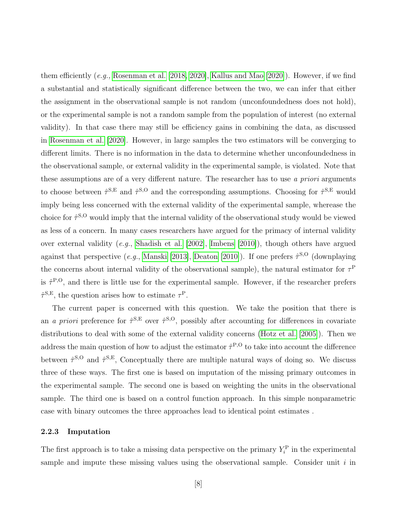them efficiently (e.g., [Rosenman et al.](#page-32-0) [\[2018,](#page-32-0) [2020\]](#page-32-1), [Kallus and Mao](#page-31-1) [\[2020\]](#page-31-1)). However, if we find a substantial and statistically significant difference between the two, we can infer that either the assignment in the observational sample is not random (unconfoundedness does not hold), or the experimental sample is not a random sample from the population of interest (no external validity). In that case there may still be efficiency gains in combining the data, as discussed in [Rosenman et al.](#page-32-1) [\[2020\]](#page-32-1). However, in large samples the two estimators will be converging to different limits. There is no information in the data to determine whether unconfoundedness in the observational sample, or external validity in the experimental sample, is violated. Note that these assumptions are of a very different nature. The researcher has to use a priori arguments to choose between  $\hat{\tau}^{S,E}$  and  $\hat{\tau}^{S,O}$  and the corresponding assumptions. Choosing for  $\hat{\tau}^{S,E}$  would imply being less concerned with the external validity of the experimental sample, wherease the choice for  $\hat{\tau}^{S,O}$  would imply that the internal validity of the observational study would be viewed as less of a concern. In many cases researchers have argued for the primacy of internal validity over external validity (e.g., [Shadish et al.](#page-32-3) [\[2002\]](#page-32-3), [Imbens](#page-31-5) [\[2010\]](#page-31-5)), though others have argued against that perspective (e.g., [Manski](#page-31-6) [\[2013\]](#page-31-6), [Deaton](#page-30-6) [\[2010\]](#page-30-6)). If one prefers  $\hat{\tau}^{\text{S,O}}$  (downplaying the concerns about internal validity of the observational sample), the natural estimator for  $\tau^{\text{P}}$ is  $\hat{\tau}^{P,O}$ , and there is little use for the experimental sample. However, if the researcher prefers  $\hat{\tau}^{\text{S,E}}$ , the question arises how to estimate  $\tau^{\text{P}}$ .

The current paper is concerned with this question. We take the position that there is an *a priori* preference for  $\hat{\tau}^{S,E}$  over  $\hat{\tau}^{S,O}$ , possibly after accounting for differences in covariate distributions to deal with some of the external validity concerns [\(Hotz et al.](#page-30-3) [\[2005\]](#page-30-3)). Then we address the main question of how to adjust the estimator  $\hat{\tau}^{P,O}$  to take into account the difference between  $\hat{\tau}^{\text{S},\text{O}}$  and  $\hat{\tau}^{\text{S},\text{E}}$ , Conceptually there are multiple natural ways of doing so. We discuss three of these ways. The first one is based on imputation of the missing primary outcomes in the experimental sample. The second one is based on weighting the units in the observational sample. The third one is based on a control function approach. In this simple nonparametric case with binary outcomes the three approaches lead to identical point estimates .

#### 2.2.3 Imputation

The first approach is to take a missing data perspective on the primary  $Y_i^{\text{P}}$  in the experimental sample and impute these missing values using the observational sample. Consider unit  $i$  in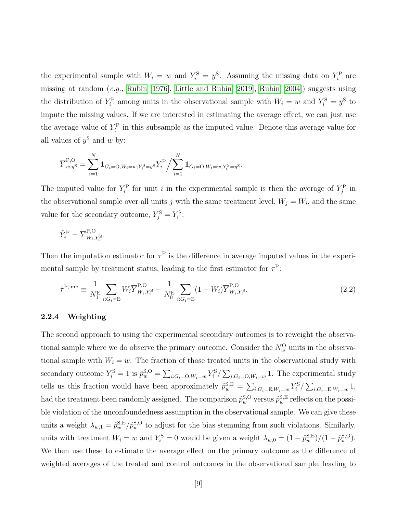the experimental sample with  $W_i = w$  and  $Y_i^S = y^S$ . Assuming the missing data on  $Y_i^P$  are missing at random (e.g., [Rubin](#page-32-8) [\[1976\]](#page-32-8), [Little and Rubin](#page-31-7) [\[2019\]](#page-31-7), [Rubin](#page-32-9) [\[2004\]](#page-32-9)) suggests using the distribution of  $Y_i^{\text{P}}$  among units in the observational sample with  $W_i = w$  and  $Y_i^{\text{S}} = y^{\text{S}}$  to impute the missing values. If we are interested in estimating the average effect, we can just use the average value of  $Y_i^{\text{P}}$  in this subsample as the imputed value. Denote this average value for all values of  $y^S$  and w by:

$$
\overline{Y}_{w,y^{\mathrm{S}}}^{\mathrm{P},\mathrm{O}} = \sum_{i=1}^{N} \mathbf{1}_{G_i=\mathrm{O},W_i=w,Y^{\mathrm{S}}_i=y^{\mathrm{S}}} Y^{\mathrm{P}}_i \Big/ \sum_{i=1}^{N} \mathbf{1}_{G_i=\mathrm{O},W_i=w,Y^{\mathrm{S}}_i=y^{\mathrm{S}}}.
$$

The imputed value for  $Y_i^{\text{P}}$  for unit i in the experimental sample is then the average of  $Y_j^{\text{P}}$  in the observational sample over all units j with the same treatment level,  $W_j = W_i$ , and the same value for the secondary outcome,  $Y_j^{\rm S} = Y_i^{\rm S}$ :

$$
\hat{Y}_i^{\text{P}} = \overline{Y}_{W_i,Y_i^{\text{S}}}^{\text{P,O}}.
$$

Then the imputation estimator for  $\tau^{\text{P}}$  is the difference in average imputed values in the experimental sample by treatment status, leading to the first estimator for  $\tau^P$ :

$$
\hat{\tau}^{\text{P,imp}} \equiv \frac{1}{N_1^{\text{E}}} \sum_{i:G_i = \text{E}} W_i \overline{Y}_{W_i, Y_i^{\text{S}}}^{\text{P,O}} - \frac{1}{N_0^{\text{E}}} \sum_{i:G_i = \text{E}} (1 - W_i) \overline{Y}_{W_i, Y_i^{\text{S}}}^{\text{P,O}}.
$$
\n(2.2)

#### 2.2.4 Weighting

The second approach to using the experimental secondary outcomes is to reweight the observational sample where we do observe the primary outcome. Consider the  $N_w^{\rm O}$  units in the observational sample with  $W_i = w$ . The fraction of those treated units in the observational study with secondary outcome  $Y_i^{\rm S} = 1$  is  $\hat{p}_w^{\rm S,O} = \sum_{i:G_i={\rm O},W_i=w} Y_i^{\rm S}/\sum_{i:G_i={\rm O},W_i=w} 1$ . The experimental study tells us this fraction would have been approximately  $\hat{p}_w^{\text{S,E}} = \sum_{i:G_i = \text{E}, W_i = w} Y_i^{\text{S}} / \sum_{i:G_i = \text{E}, W_i = w} 1$ , had the treatment been randomly assigned. The comparison  $\hat{p}_w^{\text{S,O}}$  versus  $\hat{p}_w^{\text{S,E}}$  reflects on the possible violation of the unconfoundedness assumption in the observational sample. We can give these units a weight  $\lambda_{w,1} = \hat{p}_w^{\text{S,E}}/\hat{p}_w^{\text{S,O}}$  to adjust for the bias stemming from such violations. Similarly, units with treatment  $W_i = w$  and  $Y_i^{\rm S} = 0$  would be given a weight  $\lambda_{w,0} = (1 - \hat{p}_w^{\rm S,E})/(1 - \hat{p}_w^{\rm S,O})$ . We then use these to estimate the average effect on the primary outcome as the difference of weighted averages of the treated and control outcomes in the observational sample, leading to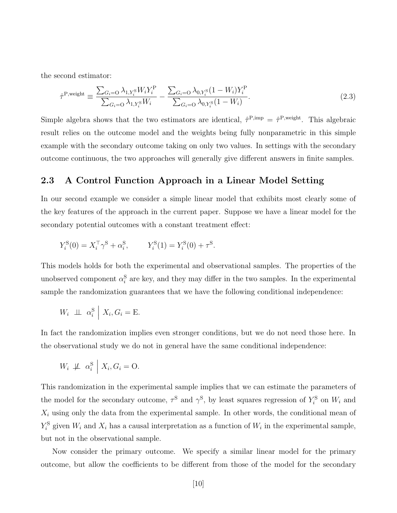the second estimator:

$$
\hat{\tau}^{\text{P,weight}} \equiv \frac{\sum_{G_i=0} \lambda_{1,Y_i^{\text{S}}} W_i Y_i^{\text{P}}}{\sum_{G_i=0} \lambda_{1,Y_i^{\text{S}}} W_i} - \frac{\sum_{G_i=0} \lambda_{0,Y_i^{\text{S}}}(1 - W_i) Y_i^{\text{P}}}{\sum_{G_i=0} \lambda_{0,Y_i^{\text{S}}}(1 - W_i)}.
$$
\n(2.3)

Simple algebra shows that the two estimators are identical,  $\hat{\tau}^{P,imp} = \hat{\tau}^{P,weight}$ . This algebraic result relies on the outcome model and the weights being fully nonparametric in this simple example with the secondary outcome taking on only two values. In settings with the secondary outcome continuous, the two approaches will generally give different answers in finite samples.

### 2.3 A Control Function Approach in a Linear Model Setting

In our second example we consider a simple linear model that exhibits most clearly some of the key features of the approach in the current paper. Suppose we have a linear model for the secondary potential outcomes with a constant treatment effect:

$$
Y_i^{\rm S}(0) = X_i^{\rm T} \gamma^{\rm S} + \alpha_i^{\rm S}, \qquad Y_i^{\rm S}(1) = Y_i^{\rm S}(0) + \tau^{\rm S}.
$$

This models holds for both the experimental and observational samples. The properties of the unobserved component  $\alpha_i^S$  are key, and they may differ in the two samples. In the experimental sample the randomization guarantees that we have the following conditional independence:

$$
W_i \perp \perp \alpha_i^{\rm S} \mid X_i, G_i = {\rm E}.
$$

In fact the randomization implies even stronger conditions, but we do not need those here. In the observational study we do not in general have the same conditional independence:

$$
W_i \not\perp \!\!\!\perp \alpha_i^{\rm S} \mid X_i, G_i = {\rm O}.
$$

This randomization in the experimental sample implies that we can estimate the parameters of the model for the secondary outcome,  $\tau^S$  and  $\gamma^S$ , by least squares regression of  $Y_i^S$  on  $W_i$  and  $X_i$  using only the data from the experimental sample. In other words, the conditional mean of  $Y_i^{\rm S}$  given  $W_i$  and  $X_i$  has a causal interpretation as a function of  $W_i$  in the experimental sample, but not in the observational sample.

Now consider the primary outcome. We specify a similar linear model for the primary outcome, but allow the coefficients to be different from those of the model for the secondary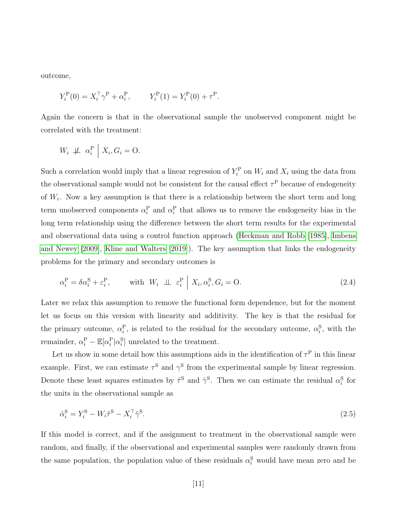outcome,

$$
Y_i^{\rm P}(0) = X_i^{\rm T} \gamma^{\rm P} + \alpha_i^{\rm P}, \qquad Y_i^{\rm P}(1) = Y_i^{\rm P}(0) + \tau^{\rm P}.
$$

Again the concern is that in the observational sample the unobserved component might be correlated with the treatment:

$$
W_i \not\perp \!\!\!\perp \alpha_i^{\mathrm{P}} \mid X_i, G_i = \mathrm{O}.
$$

Such a correlation would imply that a linear regression of  $Y_i^{\text{P}}$  on  $W_i$  and  $X_i$  using the data from the observational sample would not be consistent for the causal effect  $\tau^{\text{P}}$  because of endogeneity of  $W_i$ . Now a key assumption is that there is a relationship between the short term and long term unobserved components  $\alpha_i^P$  and  $\alpha_i^P$  that allows us to remove the endogeneity bias in the long term relationship using the difference between the short term results for the experimental and observational data using a control function approach [\(Heckman and Robb](#page-30-5) [\[1985\]](#page-30-5), [Imbens](#page-31-4) [and Newey](#page-31-4) [\[2009\]](#page-31-4), [Kline and Walters](#page-31-8) [\[2019\]](#page-31-8)). The key assumption that links the endogeneity problems for the primary and secondary outcomes is

<span id="page-11-0"></span>
$$
\alpha_i^{\mathcal{P}} = \delta \alpha_i^{\mathcal{S}} + \varepsilon_i^{\mathcal{P}}, \qquad \text{with } W_i \perp \!\!\! \perp \varepsilon_i^{\mathcal{P}} \mid X_i, \alpha_i^{\mathcal{S}}, G_i = \mathcal{O}. \tag{2.4}
$$

Later we relax this assumption to remove the functional form dependence, but for the moment let us focus on this version with linearity and additivity. The key is that the residual for the primary outcome,  $\alpha_i^{\rm P}$ , is related to the residual for the secondary outcome,  $\alpha_i^{\rm S}$ , with the remainder,  $\alpha_i^{\text{P}} - \mathbb{E}[\alpha_i^{\text{P}} | \alpha_i^{\text{S}}]$  unrelated to the treatment.

Let us show in some detail how this assumptions aids in the identification of  $\tau^{\text{P}}$  in this linear example. First, we can estimate  $\tau^S$  and  $\gamma^S$  from the experimental sample by linear regression. Denote these least squares estimates by  $\hat{\tau}^S$  and  $\hat{\gamma}^S$ . Then we can estimate the residual  $\alpha_i^S$  for the units in the observational sample as

<span id="page-11-1"></span>
$$
\hat{\alpha}_i^{\mathbf{S}} = Y_i^{\mathbf{S}} - W_i \hat{\tau}^{\mathbf{S}} - X_i^{\top} \hat{\gamma}^{\mathbf{S}}.\tag{2.5}
$$

If this model is correct, and if the assignment to treatment in the observational sample were random, and finally, if the observational and experimental samples were randomly drawn from the same population, the population value of these residuals  $\alpha_i^S$  would have mean zero and be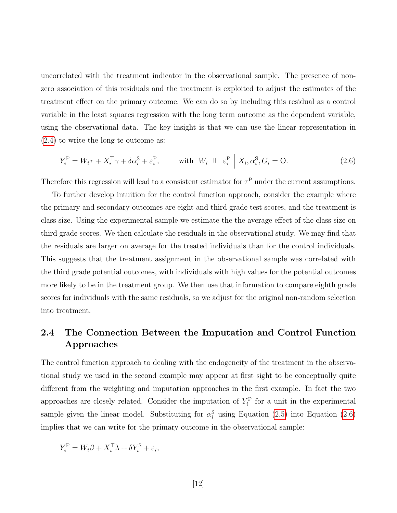uncorrelated with the treatment indicator in the observational sample. The presence of nonzero association of this residuals and the treatment is exploited to adjust the estimates of the treatment effect on the primary outcome. We can do so by including this residual as a control variable in the least squares regression with the long term outcome as the dependent variable, using the observational data. The key insight is that we can use the linear representation in [\(2.4\)](#page-11-0) to write the long te outcome as:

<span id="page-12-0"></span>
$$
Y_i^{\mathcal{P}} = W_i \tau + X_i^{\top} \gamma + \delta \alpha_i^{\mathcal{S}} + \varepsilon_i^{\mathcal{P}}, \qquad \text{with } W_i \perp \!\!\! \perp \varepsilon_i^{\mathcal{P}} \Big| X_i, \alpha_i^{\mathcal{S}}, G_i = \mathcal{O}. \tag{2.6}
$$

Therefore this regression will lead to a consistent estimator for  $\tau^P$  under the current assumptions.

To further develop intuition for the control function approach, consider the example where the primary and secondary outcomes are eight and third grade test scores, and the treatment is class size. Using the experimental sample we estimate the the average effect of the class size on third grade scores. We then calculate the residuals in the observational study. We may find that the residuals are larger on average for the treated individuals than for the control individuals. This suggests that the treatment assignment in the observational sample was correlated with the third grade potential outcomes, with individuals with high values for the potential outcomes more likely to be in the treatment group. We then use that information to compare eighth grade scores for individuals with the same residuals, so we adjust for the original non-random selection into treatment.

# 2.4 The Connection Between the Imputation and Control Function Approaches

The control function approach to dealing with the endogeneity of the treatment in the observational study we used in the second example may appear at first sight to be conceptually quite different from the weighting and imputation approaches in the first example. In fact the two approaches are closely related. Consider the imputation of  $Y_i^{\text{P}}$  for a unit in the experimental sample given the linear model. Substituting for  $\alpha_i^S$  using Equation [\(2.5\)](#page-11-1) into Equation [\(2.6\)](#page-12-0) implies that we can write for the primary outcome in the observational sample:

$$
Y_i^{\rm P} = W_i \beta + X_i^{\top} \lambda + \delta Y_i^{\rm S} + \varepsilon_i,
$$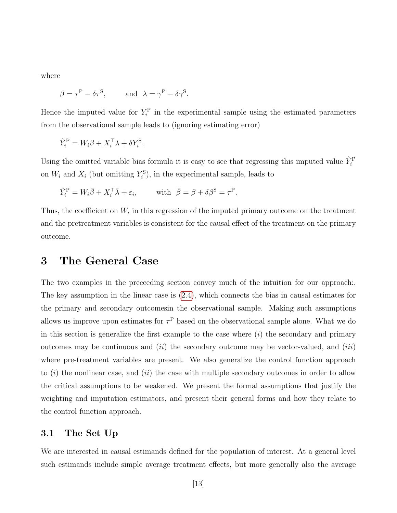where

$$
\beta = \tau^P - \delta \tau^S
$$
, and  $\lambda = \gamma^P - \delta \gamma^S$ .

Hence the imputed value for  $Y_i^{\text{P}}$  in the experimental sample using the estimated parameters from the observational sample leads to (ignoring estimating error)

$$
\hat{Y}_i^{\mathrm{P}} = W_i \beta + X_i^{\top} \lambda + \delta Y_i^{\mathrm{S}}.
$$

Using the omitted variable bias formula it is easy to see that regressing this imputed value  $\hat{Y}_i^{\text{P}}$ on  $W_i$  and  $X_i$  (but omitting  $Y_i^{\text{S}}$ ), in the experimental sample, leads to

$$
\hat{Y}_i^{\mathrm{P}} = W_i \bar{\beta} + X_i^{\top} \bar{\lambda} + \varepsilon_i, \qquad \text{ with } \ \bar{\beta} = \beta + \delta \beta^{\mathrm{S}} = \tau^{\mathrm{P}}.
$$

Thus, the coefficient on  $W_i$  in this regression of the imputed primary outcome on the treatment and the pretreatment variables is consistent for the causal effect of the treatment on the primary outcome.

# 3 The General Case

The two examples in the preceeding section convey much of the intuition for our approach. The key assumption in the linear case is [\(2.4\)](#page-11-0), which connects the bias in causal estimates for the primary and secondary outcomesin the observational sample. Making such assumptions allows us improve upon estimates for  $\tau^{\text{P}}$  based on the observational sample alone. What we do in this section is generalize the first example to the case where  $(i)$  the secondary and primary outcomes may be continuous and  $(ii)$  the secondary outcome may be vector-valued, and  $(iii)$ where pre-treatment variables are present. We also generalize the control function approach to  $(i)$  the nonlinear case, and  $(ii)$  the case with multiple secondary outcomes in order to allow the critical assumptions to be weakened. We present the formal assumptions that justify the weighting and imputation estimators, and present their general forms and how they relate to the control function approach.

### 3.1 The Set Up

We are interested in causal estimands defined for the population of interest. At a general level such estimands include simple average treatment effects, but more generally also the average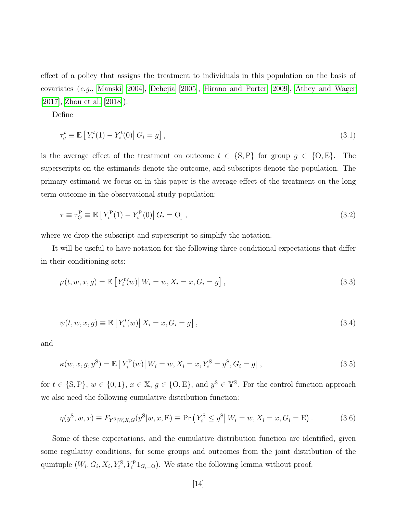effect of a policy that assigns the treatment to individuals in this population on the basis of covariates (e.g., [Manski](#page-31-9) [\[2004\]](#page-31-9), [Dehejia](#page-30-7) [\[2005\]](#page-30-7), [Hirano and Porter](#page-30-8) [\[2009\]](#page-30-8), [Athey and Wager](#page-29-4) [\[2017\]](#page-29-4), [Zhou et al.](#page-32-10) [\[2018\]](#page-32-10)).

Define

$$
\tau_g^t \equiv \mathbb{E}\left[Y_i^t(1) - Y_i^t(0) \middle| G_i = g\right],\tag{3.1}
$$

is the average effect of the treatment on outcome  $t \in \{S, P\}$  for group  $g \in \{O, E\}$ . The superscripts on the estimands denote the outcome, and subscripts denote the population. The primary estimand we focus on in this paper is the average effect of the treatment on the long term outcome in the observational study population:

$$
\tau \equiv \tau_0^{\rm P} \equiv \mathbb{E}\left[Y_i^{\rm P}(1) - Y_i^{\rm P}(0)\right| G_i = O\right],\tag{3.2}
$$

where we drop the subscript and superscript to simplify the notation.

It will be useful to have notation for the following three conditional expectations that differ in their conditioning sets:

$$
\mu(t, w, x, g) = \mathbb{E}\left[Y_i^t(w) \, | \, W_i = w, X_i = x, G_i = g\right],\tag{3.3}
$$

$$
\psi(t, w, x, g) \equiv \mathbb{E}\left[Y_i^t(w) \middle| X_i = x, G_i = g\right],\tag{3.4}
$$

and

$$
\kappa(w, x, g, y^{\rm S}) = \mathbb{E}\left[Y_i^{\rm P}(w) \,|\, W_i = w, X_i = x, Y_i^{\rm S} = y^{\rm S}, G_i = g\right],\tag{3.5}
$$

for  $t \in \{S, P\}$ ,  $w \in \{0, 1\}$ ,  $x \in \mathbb{X}$ ,  $g \in \{O, E\}$ , and  $y^S \in \mathbb{Y}^S$ . For the control function approach we also need the following cumulative distribution function:

$$
\eta(y^{\rm S}, w, x) \equiv F_{Y^{\rm S}|W, X, G}(y^{\rm S}|w, x, \mathbf{E}) \equiv \Pr\left(Y_i^{\rm S} \le y^{\rm S}|W_i = w, X_i = x, G_i = \mathbf{E}\right). \tag{3.6}
$$

Some of these expectations, and the cumulative distribution function are identified, given some regularity conditions, for some groups and outcomes from the joint distribution of the quintuple  $(W_i, G_i, X_i, Y_i^S, Y_i^P1_{G_i=0})$ . We state the following lemma without proof.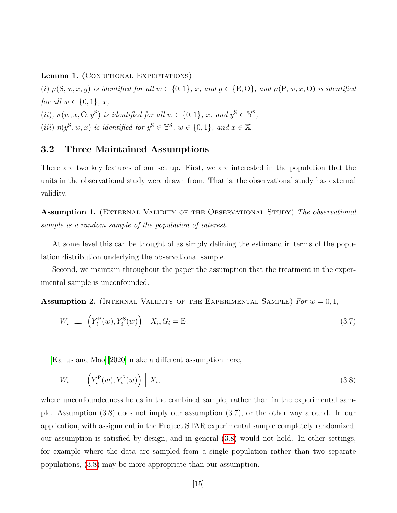Lemma 1. (CONDITIONAL EXPECTATIONS)

(i)  $\mu(S, w, x, g)$  is identified for all  $w \in \{0, 1\}$ , x, and  $g \in \{E, O\}$ , and  $\mu(P, w, x, O)$  is identified for all  $w \in \{0,1\}$ , x, (ii),  $\kappa(w, x, \mathcal{O}, y^{\mathcal{S}})$  is identified for all  $w \in \{0, 1\}$ , x, and  $y^{\mathcal{S}} \in \mathbb{Y}^{\mathcal{S}}$ , (iii)  $\eta(y^{\mathcal{S}}, w, x)$  is identified for  $y^{\mathcal{S}} \in \mathbb{Y}^{\mathcal{S}}, w \in \{0, 1\}, \text{ and } x \in \mathbb{X}.$ 

### 3.2 Three Maintained Assumptions

There are two key features of our set up. First, we are interested in the population that the units in the observational study were drawn from. That is, the observational study has external validity.

<span id="page-15-2"></span>**Assumption 1.** (EXTERNAL VALIDITY OF THE OBSERVATIONAL STUDY) The observational sample is a random sample of the population of interest.

At some level this can be thought of as simply defining the estimand in terms of the population distribution underlying the observational sample.

Second, we maintain throughout the paper the assumption that the treatment in the experimental sample is unconfounded.

<span id="page-15-3"></span>**Assumption 2.** (INTERNAL VALIDITY OF THE EXPERIMENTAL SAMPLE) For  $w = 0, 1$ ,

<span id="page-15-1"></span>
$$
W_i \perp \perp \left( Y_i^{\mathcal{P}}(w), Y_i^{\mathcal{S}}(w) \right) \mid X_i, G_i = \mathcal{E}. \tag{3.7}
$$

[Kallus and Mao](#page-31-1) [\[2020\]](#page-31-1) make a different assumption here,

<span id="page-15-0"></span>
$$
W_i \perp \!\!\!\perp \left( Y_i^{\mathcal{P}}(w), Y_i^{\mathcal{S}}(w) \right) \mid X_i,
$$
\n(3.8)

where unconfoundedness holds in the combined sample, rather than in the experimental sample. Assumption [\(3.8\)](#page-15-0) does not imply our assumption [\(3.7\)](#page-15-1), or the other way around. In our application, with assignment in the Project STAR experimental sample completely randomized, our assumption is satisfied by design, and in general [\(3.8\)](#page-15-0) would not hold. In other settings, for example where the data are sampled from a single population rather than two separate populations, [\(3.8\)](#page-15-0) may be more appropriate than our assumption.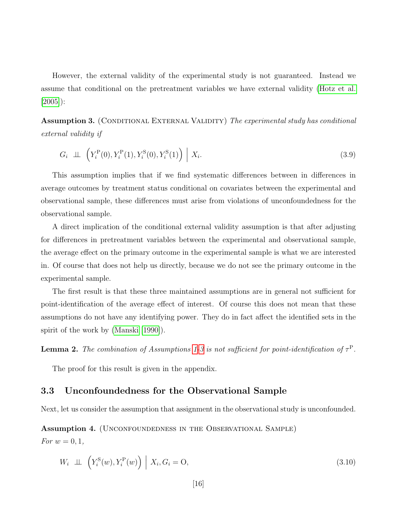However, the external validity of the experimental study is not guaranteed. Instead we assume that conditional on the pretreatment variables we have external validity [\(Hotz et al.](#page-30-3) [\[2005\]](#page-30-3)):

<span id="page-16-0"></span>**Assumption 3.** (CONDITIONAL EXTERNAL VALIDITY) The experimental study has conditional external validity if

$$
G_i \perp \!\!\!\perp \left( Y_i^{\text{P}}(0), Y_i^{\text{P}}(1), Y_i^{\text{S}}(0), Y_i^{\text{S}}(1) \right) \Big| X_i. \tag{3.9}
$$

This assumption implies that if we find systematic differences between in differences in average outcomes by treatment status conditional on covariates between the experimental and observational sample, these differences must arise from violations of unconfoundedness for the observational sample.

A direct implication of the conditional external validity assumption is that after adjusting for differences in pretreatment variables between the experimental and observational sample, the average effect on the primary outcome in the experimental sample is what we are interested in. Of course that does not help us directly, because we do not see the primary outcome in the experimental sample.

The first result is that these three maintained assumptions are in general not sufficient for point-identification of the average effect of interest. Of course this does not mean that these assumptions do not have any identifying power. They do in fact affect the identified sets in the spirit of the work by [\(Manski](#page-31-10) [\[1990\]](#page-31-10)).

<span id="page-16-2"></span>**Lemma 2.** The combination of Assumptions [1-](#page-15-2)[3](#page-16-0) is not sufficient for point-identification of  $\tau^P$ .

The proof for this result is given in the appendix.

### 3.3 Unconfoundedness for the Observational Sample

Next, let us consider the assumption that assignment in the observational study is unconfounded.

<span id="page-16-1"></span>Assumption 4. (Unconfoundedness in the Observational Sample)

For  $w = 0, 1$ ,

$$
W_i \perp \perp \left( Y_i^{\mathcal{S}}(w), Y_i^{\mathcal{P}}(w) \right) \mid X_i, G_i = \mathcal{O}, \tag{3.10}
$$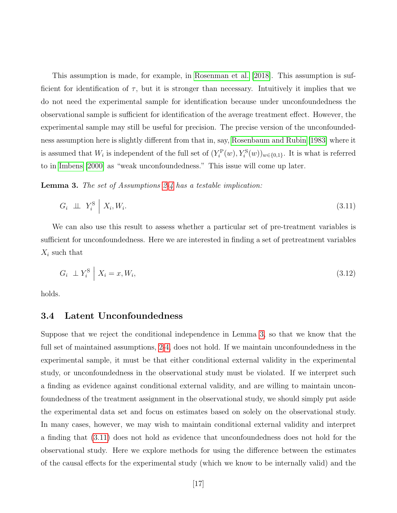This assumption is made, for example, in [Rosenman et al.](#page-32-0) [\[2018\]](#page-32-0). This assumption is sufficient for identification of  $\tau$ , but it is stronger than necessary. Intuitively it implies that we do not need the experimental sample for identification because under unconfoundedness the observational sample is sufficient for identification of the average treatment effect. However, the experimental sample may still be useful for precision. The precise version of the unconfoundedness assumption here is slightly different from that in, say, [Rosenbaum and Rubin](#page-32-2) [\[1983\]](#page-32-2) where it is assumed that  $W_i$  is independent of the full set of  $(Y_i^{\text{P}}(w), Y_i^{\text{S}}(w))_{w \in \{0,1\}}$ . It is what is referred to in [Imbens](#page-30-9) [\[2000\]](#page-30-9) as "weak unconfoundedness." This issue will come up later.

<span id="page-17-0"></span>Lemma 3. The set of Assumptions [2](#page-15-3)[-4](#page-16-1) has a testable implication:

<span id="page-17-1"></span>
$$
G_i \perp \!\!\!\perp Y_i^{\rm S} \mid X_i, W_i. \tag{3.11}
$$

We can also use this result to assess whether a particular set of pre-treatment variables is sufficient for unconfoundedness. Here we are interested in finding a set of pretreatment variables  $X_i$  such that

$$
G_i \perp Y_i^{\rm S} \mid X_i = x, W_i,\tag{3.12}
$$

holds.

#### 3.4 Latent Unconfoundedness

Suppose that we reject the conditional independence in Lemma [3,](#page-17-0) so that we know that the full set of maintained assumptions, [2-](#page-15-3)[4,](#page-16-1) does not hold. If we maintain unconfoundedness in the experimental sample, it must be that either conditional external validity in the experimental study, or unconfoundedness in the observational study must be violated. If we interpret such a finding as evidence against conditional external validity, and are willing to maintain unconfoundedness of the treatment assignment in the observational study, we should simply put aside the experimental data set and focus on estimates based on solely on the observational study. In many cases, however, we may wish to maintain conditional external validity and interpret a finding that [\(3.11\)](#page-17-1) does not hold as evidence that unconfoundedness does not hold for the observational study. Here we explore methods for using the difference between the estimates of the causal effects for the experimental study (which we know to be internally valid) and the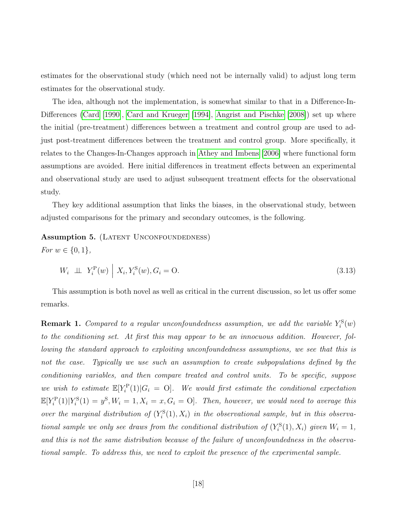estimates for the observational study (which need not be internally valid) to adjust long term estimates for the observational study.

The idea, although not the implementation, is somewhat similar to that in a Difference-In-Differences [\(Card](#page-29-5) [\[1990\]](#page-29-5), [Card and Krueger](#page-30-10) [\[1994\]](#page-30-10), [Angrist and Pischke](#page-29-6) [\[2008\]](#page-29-6)) set up where the initial (pre-treatment) differences between a treatment and control group are used to adjust post-treatment differences between the treatment and control group. More specifically, it relates to the Changes-In-Changes approach in [Athey and Imbens](#page-29-3) [\[2006\]](#page-29-3) where functional form assumptions are avoided. Here initial differences in treatment effects between an experimental and observational study are used to adjust subsequent treatment effects for the observational study.

They key additional assumption that links the biases, in the observational study, between adjusted comparisons for the primary and secondary outcomes, is the following.

#### <span id="page-18-0"></span>Assumption 5. (LATENT UNCONFOUNDEDNESS)

*For*  $w \in \{0, 1\}$ ,

$$
W_i \perp \!\!\!\perp Y_i^{\mathcal{P}}(w) \mid X_i, Y_i^{\mathcal{S}}(w), G_i = \mathcal{O}.
$$
\n
$$
(3.13)
$$

This assumption is both novel as well as critical in the current discussion, so let us offer some remarks.

**Remark 1.** Compared to a regular unconfoundedness assumption, we add the variable  $Y_i^{\rm S}(w)$ to the conditioning set. At first this may appear to be an innocuous addition. However, following the standard approach to exploiting unconfoundedness assumptions, we see that this is not the case. Typically we use such an assumption to create subpopulations defined by the conditioning variables, and then compare treated and control units. To be specific, suppose we wish to estimate  $\mathbb{E}[Y_i^{\mathcal{P}}(1)|G_i = 0]$ . We would first estimate the conditional expectation  $\mathbb{E}[Y_i^{\text{P}}(1)|Y_i^{\text{S}}(1) = y^{\text{S}}, W_i = 1, X_i = x, G_i = 0].$  Then, however, we would need to average this over the marginal distribution of  $(Y_i^{\rm S}(1), X_i)$  in the observational sample, but in this observational sample we only see draws from the conditional distribution of  $(Y_i^S(1), X_i)$  given  $W_i = 1$ , and this is not the same distribution because of the failure of unconfoundedness in the observational sample. To address this, we need to exploit the presence of the experimental sample.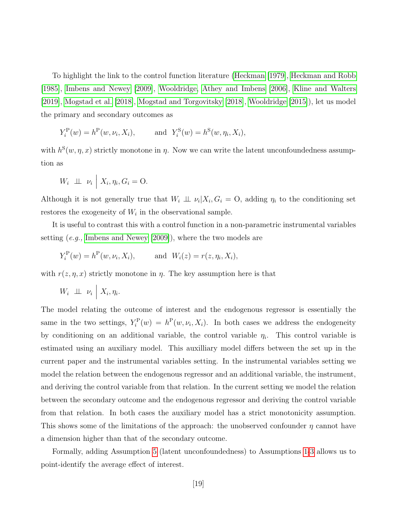To highlight the link to the control function literature [\(Heckman](#page-30-4) [\[1979\]](#page-30-4), [Heckman and Robb](#page-30-5) [\[1985\]](#page-30-5), [Imbens and Newey](#page-31-4) [\[2009\]](#page-31-4), [Wooldridge,](#page-32-4) [Athey and Imbens](#page-29-3) [\[2006\]](#page-29-3), [Kline and Walters](#page-31-8) [\[2019\]](#page-31-8), [Mogstad et al.](#page-32-11) [\[2018\]](#page-32-11), [Mogstad and Torgovitsky](#page-31-11) [\[2018\]](#page-31-11), [Wooldridge](#page-32-12) [\[2015\]](#page-32-12)), let us model the primary and secondary outcomes as

$$
Y_i^{\text{P}}(w) = h^{\text{P}}(w, \nu_i, X_i),
$$
 and  $Y_i^{\text{S}}(w) = h^{\text{S}}(w, \eta_i, X_i),$ 

with  $h^{S}(w, \eta, x)$  strictly monotone in  $\eta$ . Now we can write the latent unconfoundedness assumption as

$$
W_i \perp \!\!\!\perp \!\!\!\perp \nu_i \mid X_i, \eta_i, G_i = \text{O}.
$$

Although it is not generally true that  $W_i \perp \!\!\!\perp \nu_i | X_i, G_i = 0$ , adding  $\eta_i$  to the conditioning set restores the exogeneity of  $W_i$  in the observational sample.

It is useful to contrast this with a control function in a non-parametric instrumental variables setting (e.g., [Imbens and Newey](#page-31-4) [\[2009\]](#page-31-4)), where the two models are

$$
Y_i^{\text{P}}(w) = h^{\text{P}}(w, \nu_i, X_i),
$$
 and  $W_i(z) = r(z, \eta_i, X_i),$ 

with  $r(z, \eta, x)$  strictly monotone in  $\eta$ . The key assumption here is that

 $W_i \perp \!\!\!\perp \nu_i$  $X_i, \eta_i$ .

The model relating the outcome of interest and the endogenous regressor is essentially the same in the two settings,  $Y_i^{\text{P}}(w) = h^{\text{P}}(w, \nu_i, X_i)$ . In both cases we address the endogeneity by conditioning on an additional variable, the control variable  $\eta_i$ . This control variable is estimated using an auxiliary model. This auxilliary model differs between the set up in the current paper and the instrumental variables setting. In the instrumental variables setting we model the relation between the endogenous regressor and an additional variable, the instrument, and deriving the control variable from that relation. In the current setting we model the relation between the secondary outcome and the endogenous regressor and deriving the control variable from that relation. In both cases the auxiliary model has a strict monotonicity assumption. This shows some of the limitations of the approach: the unobserved confounder  $\eta$  cannot have a dimension higher than that of the secondary outcome.

Formally, adding Assumption [5](#page-18-0) (latent unconfoundedness) to Assumptions [1-](#page-15-2)[3](#page-16-0) allows us to point-identify the average effect of interest.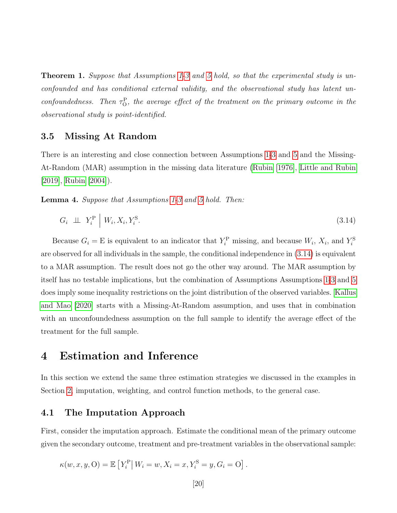<span id="page-20-1"></span>**Theorem [1](#page-15-2).** Suppose that Assumptions 1[-3](#page-16-0) and [5](#page-18-0) hold, so that the experimental study is unconfounded and has conditional external validity, and the observational study has latent unconfoundedness. Then  $\tau_{\rm O}^{\rm P}$ , the average effect of the treatment on the primary outcome in the observational study is point-identified.

#### 3.5 Missing At Random

There is an interesting and close connection between Assumptions [1](#page-15-2)[-3](#page-16-0) and [5](#page-18-0) and the Missing-At-Random (MAR) assumption in the missing data literature [\(Rubin](#page-32-8) [\[1976\]](#page-32-8), [Little and Rubin](#page-31-7) [\[2019\]](#page-31-7), [Rubin](#page-32-9) [\[2004\]](#page-32-9)).

Lemma 4. Suppose that Assumptions [1-](#page-15-2)[3](#page-16-0) and [5](#page-18-0) hold. Then:

<span id="page-20-0"></span>
$$
G_i \perp \!\!\!\perp Y_i^{\rm P} \mid W_i, X_i, Y_i^{\rm S}.
$$
\n
$$
(3.14)
$$

Because  $G_i = E$  is equivalent to an indicator that  $Y_i^{\text{P}}$  missing, and because  $W_i$ ,  $X_i$ , and  $Y_i^{\text{S}}$ are observed for all individuals in the sample, the conditional independence in [\(3.14\)](#page-20-0) is equivalent to a MAR assumption. The result does not go the other way around. The MAR assumption by itself has no testable implications, but the combination of Assumptions Assumptions [1-](#page-15-2)[3](#page-16-0) and [5](#page-18-0) does imply some inequality restrictions on the joint distribution of the observed variables. [Kallus](#page-31-1) [and Mao](#page-31-1) [\[2020\]](#page-31-1) starts with a Missing-At-Random assumption, and uses that in combination with an unconfoundedness assumption on the full sample to identify the average effect of the treatment for the full sample.

# 4 Estimation and Inference

In this section we extend the same three estimation strategies we discussed in the examples in Section [2,](#page-5-0) imputation, weighting, and control function methods, to the general case.

### 4.1 The Imputation Approach

First, consider the imputation approach. Estimate the conditional mean of the primary outcome given the secondary outcome, treatment and pre-treatment variables in the observational sample:

$$
\kappa(w, x, y, O) = \mathbb{E}\left[Y_i^{\mathcal{P}} | W_i = w, X_i = x, Y_i^{\mathcal{S}} = y, G_i = O\right].
$$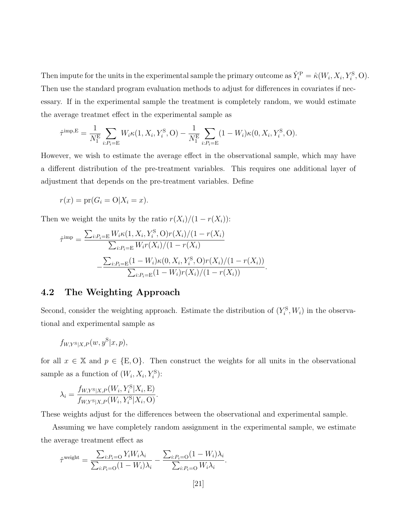Then impute for the units in the experimental sample the primary outcome as  $\hat{Y}_i^{\text{P}} = \hat{\kappa}(W_i, X_i, Y_i^{\text{S}}, O)$ . Then use the standard program evaluation methods to adjust for differences in covariates if necessary. If in the experimental sample the treatment is completely random, we would estimate the average treatmet effect in the experimental sample as

$$
\hat{\tau}^{\text{imp},E} = \frac{1}{N_1^{\text{E}}} \sum_{i:P_i = \text{E}} W_i \kappa(1, X_i, Y_i^{\text{S}}, O) - \frac{1}{N_1^{\text{E}}} \sum_{i:P_i = \text{E}} (1 - W_i) \kappa(0, X_i, Y_i^{\text{S}}, O).
$$

However, we wish to estimate the average effect in the observational sample, which may have a different distribution of the pre-treatment variables. This requires one additional layer of adjustment that depends on the pre-treatment variables. Define

$$
r(x) = \text{pr}(G_i = \text{O}|X_i = x).
$$

Then we weight the units by the ratio  $r(X_i)/(1 - r(X_i))$ :

$$
\hat{\tau}^{\text{imp}} = \frac{\sum_{i:P_i = \mathcal{E}} W_i \kappa(1, X_i, Y_i^{\text{S}}, O)r(X_i)/(1 - r(X_i))}{\sum_{i:P_i = \mathcal{E}} W_i r(X_i)/(1 - r(X_i))} - \frac{\sum_{i:P_i = \mathcal{E}} (1 - W_i) \kappa(0, X_i, Y_i^{\text{S}}, O)r(X_i)/(1 - r(X_i))}{\sum_{i:P_i = \mathcal{E}} (1 - W_i) r(X_i)/(1 - r(X_i))}.
$$

### 4.2 The Weighting Approach

Second, consider the weighting approach. Estimate the distribution of  $(Y_i^S, W_i)$  in the observational and experimental sample as

$$
f_{W,Y^{\rm S}|X,P}(w,y^{\rm S}|x,p),
$$

for all  $x \in \mathbb{X}$  and  $p \in \{E, O\}$ . Then construct the weights for all units in the observational sample as a function of  $(W_i, X_i, Y_i^S)$ :

$$
\lambda_i = \frac{f_{W,Y^{\rm S}|X,P}(W_i, Y_i^{\rm S}|X_i, \mathbf{E})}{f_{W,Y^{\rm S}|X,P}(W_i, Y_i^{\rm S}|X_i, \mathbf{O})}.
$$

These weights adjust for the differences between the observational and experimental sample.

Assuming we have completely random assignment in the experimental sample, we estimate the average treatment effect as

$$
\hat{\tau}^{\text{weight}} = \frac{\sum_{i:P_i=\text{O}} Y_i W_i \lambda_i}{\sum_{i:P_i=\text{O}} (1 - W_i) \lambda_i} - \frac{\sum_{i:P_i=\text{O}} (1 - W_i) \lambda_i}{\sum_{i:P_i=\text{O}} W_i \lambda_i}.
$$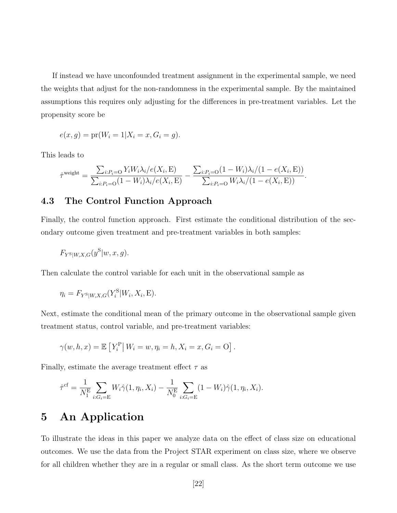If instead we have unconfounded treatment assignment in the experimental sample, we need the weights that adjust for the non-randomness in the experimental sample. By the maintained assumptions this requires only adjusting for the differences in pre-treatment variables. Let the propensity score be

$$
e(x, g) = \text{pr}(W_i = 1 | X_i = x, G_i = g).
$$

This leads to

$$
\hat{\tau}^{\text{weight}} = \frac{\sum_{i:P_i=0} Y_i W_i \lambda_i / e(X_i, E)}{\sum_{i:P_i=0} (1 - W_i) \lambda_i / e(X_i, E)} - \frac{\sum_{i:P_i=0} (1 - W_i) \lambda_i / (1 - e(X_i, E))}{\sum_{i:P_i=0} W_i \lambda_i / (1 - e(X_i, E))}.
$$

### 4.3 The Control Function Approach

Finally, the control function approach. First estimate the conditional distribution of the secondary outcome given treatment and pre-treatment variables in both samples:

$$
F_{Y^{\rm S}|W,X,G}(y^{\rm S}|w,x,g).
$$

Then calculate the control variable for each unit in the observational sample as

$$
\eta_i = F_{Y^{\mathcal{S}}|W,X,G}(Y_i^{\mathcal{S}}|W_i,X_i,\mathcal{E}).
$$

Next, estimate the conditional mean of the primary outcome in the observational sample given treatment status, control variable, and pre-treatment variables:

$$
\gamma(w, h, x) = \mathbb{E}\left[ Y_i^{\mathcal{P}} \, | \, W_i = w, \eta_i = h, X_i = x, G_i = 0 \right].
$$

Finally, estimate the average treatment effect  $\tau$  as

$$
\hat{\tau}^{\text{cf}} = \frac{1}{N_1^{\text{E}}} \sum_{i: G_i = \text{E}} W_i \hat{\gamma}(1, \eta_i, X_i) - \frac{1}{N_0^{\text{E}}} \sum_{i: G_i = \text{E}} (1 - W_i) \hat{\gamma}(1, \eta_i, X_i).
$$

# 5 An Application

To illustrate the ideas in this paper we analyze data on the effect of class size on educational outcomes. We use the data from the Project STAR experiment on class size, where we observe for all children whether they are in a regular or small class. As the short term outcome we use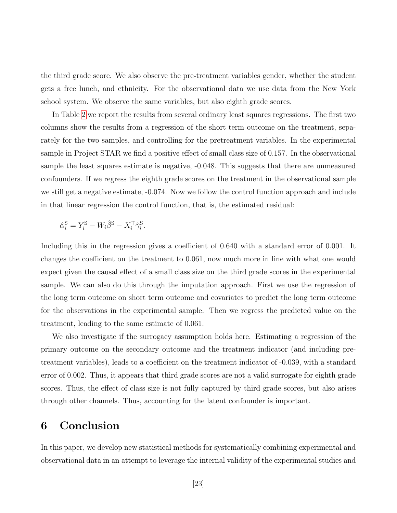the third grade score. We also observe the pre-treatment variables gender, whether the student gets a free lunch, and ethnicity. For the observational data we use data from the New York school system. We observe the same variables, but also eighth grade scores.

In Table [2](#page-24-0) we report the results from several ordinary least squares regressions. The first two columns show the results from a regression of the short term outcome on the treatment, separately for the two samples, and controlling for the pretreatment variables. In the experimental sample in Project STAR we find a positive effect of small class size of 0.157. In the observational sample the least squares estimate is negative, -0.048. This suggests that there are unmeasured confounders. If we regress the eighth grade scores on the treatment in the observational sample we still get a negative estimate, -0.074. Now we follow the control function approach and include in that linear regression the control function, that is, the estimated residual:

$$
\hat{\alpha}_i^{\rm S} = Y_i^{\rm S} - W_i \hat{\beta}^{\rm S} - X_i^{\top} \hat{\gamma}_i^{\rm S}.
$$

Including this in the regression gives a coefficient of 0.640 with a standard error of 0.001. It changes the coefficient on the treatment to 0.061, now much more in line with what one would expect given the causal effect of a small class size on the third grade scores in the experimental sample. We can also do this through the imputation approach. First we use the regression of the long term outcome on short term outcome and covariates to predict the long term outcome for the observations in the experimental sample. Then we regress the predicted value on the treatment, leading to the same estimate of 0.061.

We also investigate if the surrogacy assumption holds here. Estimating a regression of the primary outcome on the secondary outcome and the treatment indicator (and including pretreatment variables), leads to a coefficient on the treatment indicator of -0.039, with a standard error of 0.002. Thus, it appears that third grade scores are not a valid surrogate for eighth grade scores. Thus, the effect of class size is not fully captured by third grade scores, but also arises through other channels. Thus, accounting for the latent confounder is important.

# 6 Conclusion

In this paper, we develop new statistical methods for systematically combining experimental and observational data in an attempt to leverage the internal validity of the experimental studies and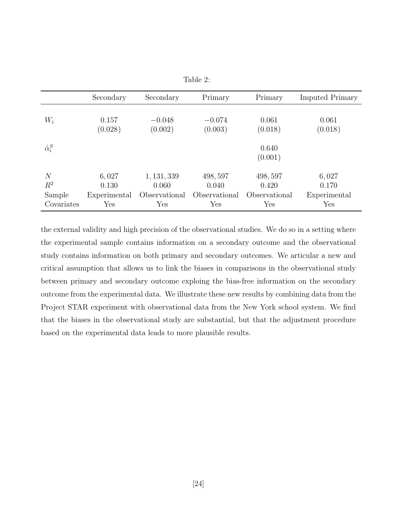|                    | Secondary    | Secondary     | Primary       | Primary          | <b>Imputed Primary</b> |
|--------------------|--------------|---------------|---------------|------------------|------------------------|
| $W_i$              | 0.157        | $-0.048$      | $-0.074$      | 0.061            | 0.061                  |
|                    | (0.028)      | (0.002)       | (0.003)       | (0.018)          | (0.018)                |
| $\hat{\alpha}_i^S$ |              |               |               | 0.640<br>(0.001) |                        |
| $\overline{N}$     | 6,027        | 1, 131, 339   | 498, 597      | 498, 597         | 6,027                  |
| $R^2$              | 0.130        | 0.060         | 0.040         | 0.420            | 0.170                  |
| Sample             | Experimental | Observational | Observational | Observational    | Experimental           |
| Covariates         | Yes          | Yes           | Yes           | Yes              | Yes                    |

<span id="page-24-0"></span>

| l'able |  |
|--------|--|
|--------|--|

the external validity and high precision of the observational studies. We do so in a setting where the experimental sample contains information on a secondary outcome and the observational study contains information on both primary and secondary outcomes. We articular a new and critical assumption that allows us to link the biases in comparisons in the observational study between primary and secondary outcome exploing the bias-free information on the secondary outcome from the experimental data. We illustrate these new results by combining data from the Project STAR experiment with observational data from the New York school system. We find that the biases in the observational study are substantial, but that the adjustment procedure based on the experimental data leads to more plausible results.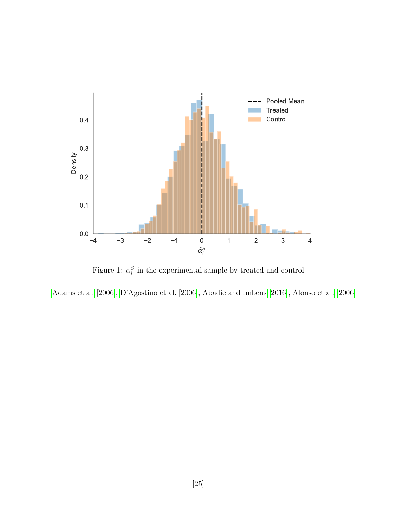

Figure 1:  $\alpha_i^S$  in the experimental sample by treated and control

[Adams et al.](#page-29-7) [\[2006\]](#page-29-7), [D'Agostino et al.](#page-30-11) [\[2006\]](#page-30-11), [Abadie and Imbens](#page-29-8) [\[2016\]](#page-29-8), [Alonso et al.](#page-29-9) [\[2006\]](#page-29-9)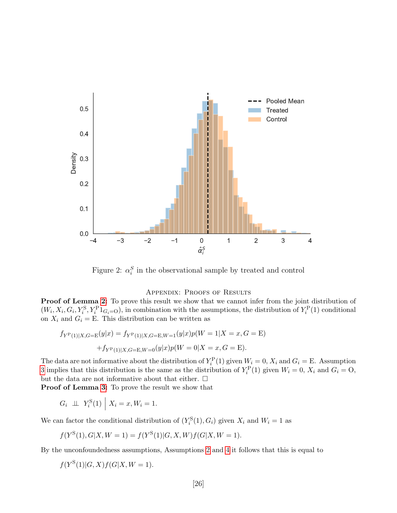

Figure 2:  $\alpha_i^S$  in the observational sample by treated and control

#### APPENDIX: PROOFS OF RESULTS

**Proof of Lemma [2:](#page-16-2)** To prove this result we show that we cannot infer from the joint distribution of  $(W_i, X_i, G_i, Y_i^S, Y_i^P 1_{G_i=O})$ , in combination with the assumptions, the distribution of  $Y_i^P(1)$  conditional on  $X_i$  and  $G_i =$  E. This distribution can be written as

$$
f_{Y^{\rm P}(1)|X,G={\rm E}}(y|x) = f_{Y^{\rm P}(1)|X,G={\rm E},W=1}(y|x)p(W=1|X=x,G={\rm E})
$$

$$
+f_{Y^{\rm P}(1)|X,G={\rm E},W=0}(y|x)p(W=0|X=x,G={\rm E}).
$$

The data are not informative about the distribution of  $Y_i^{\text{P}}(1)$  given  $W_i = 0$ ,  $X_i$  and  $G_i = \text{E}$ . Assumption [3](#page-16-0) implies that this distribution is the same as the distribution of  $Y_i^{\text{P}}(1)$  given  $W_i = 0$ ,  $X_i$  and  $G_i = 0$ , but the data are not informative about that either.  $\Box$ 

Proof of Lemma [3:](#page-17-0) To prove the result we show that

$$
G_i \perp \perp Y_i^{\rm S}(1) \mid X_i = x, W_i = 1.
$$

We can factor the conditional distribution of  $(Y_i^{\rm S}(1), G_i)$  given  $X_i$  and  $W_i = 1$  as

$$
f(Y^{S}(1), G|X, W = 1) = f(Y^{S}(1)|G, X, W)f(G|X, W = 1).
$$

By the unconfoundedness assumptions, Assumptions [2](#page-15-3) and [4](#page-16-1) it follows that this is equal to

$$
f(Y^{\mathcal{S}}(1)|G,X)f(G|X,W=1).
$$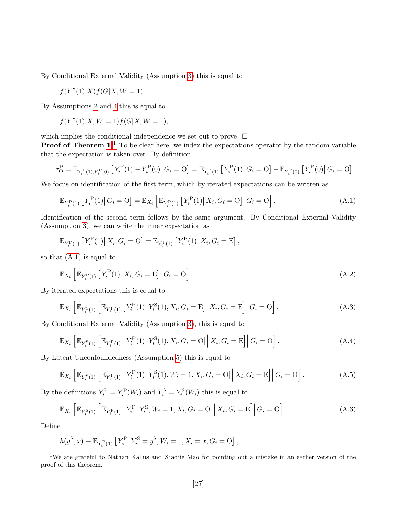By Conditional External Validity (Assumption [3\)](#page-16-0) this is equal to

$$
f(Y^{\mathcal{S}}(1)|X)f(G|X,W=1).
$$

By Assumptions [2](#page-15-3) and [4](#page-16-1) this is equal to

$$
f(Y^{S}(1)|X, W=1) f(G|X, W=1),
$$

which implies the conditional independence we set out to prove.  $\Box$ 

**Proof of Theorem [1:](#page-20-1)**<sup>[1](#page-27-0)</sup> To be clear here, we index the expectations operator by the random variable that the expectation is taken over. By definition

$$
\tau_0^{\rm P} = \mathbb{E}_{Y_i^{\rm P}(1), Y_i^{\rm P}(0)} \left[ Y_i^{\rm P}(1) - Y_i^{\rm P}(0) \right] G_i = 0 \right] = \mathbb{E}_{Y_i^{\rm P}(1)} \left[ Y_i^{\rm P}(1) \right] G_i = 0 \right] - \mathbb{E}_{Y_i^{\rm P}(0)} \left[ Y_i^{\rm P}(0) \right] G_i = 0 \right].
$$

We focus on identification of the first term, which by iterated expectations can be written as

<span id="page-27-1"></span>
$$
\mathbb{E}_{Y_i^{\rm P}(1)}\left[Y_i^{\rm P}(1)\right|G_i={\rm O}\right]=\mathbb{E}_{X_i}\left[\mathbb{E}_{Y_i^{\rm P}(1)}\left[Y_i^{\rm P}(1)\right|X_i,G_i={\rm O}\right]\left|G_i={\rm O}\right].\tag{A.1}
$$

Identification of the second term follows by the same argument. By Conditional External Validity (Assumption [3\)](#page-16-0), we can write the inner expectation as

$$
\mathbb{E}_{Y_i^{\rm P}(1)}\left[Y_i^{\rm P}(1)\right|X_i, G_i = {\rm O}\right] = \mathbb{E}_{Y_i^{\rm P}(1)}\left[Y_i^{\rm P}(1)\right|X_i, G_i = {\rm E}\right],
$$

so that  $(A.1)$  is equal to

$$
\mathbb{E}_{X_i} \left[ \mathbb{E}_{Y_i^{\mathcal{P}}(1)} \left[ Y_i^{\mathcal{P}}(1) \big| \, X_i, G_i = \mathcal{E} \right] \right] G_i = \mathcal{O} \right]. \tag{A.2}
$$

By iterated expectations this is equal to

$$
\mathbb{E}_{X_i} \left[ \mathbb{E}_{Y_i^{\rm S}(1)} \left[ \mathbb{E}_{Y_i^{\rm P}(1)} \left[ Y_i^{\rm P}(1) \big| Y_i^{\rm S}(1), X_i, G_i = \rm E \right] \middle| X_i, G_i = \rm E \right] \middle| G_i = \rm O \right]. \tag{A.3}
$$

By Conditional External Validity (Assumption [3\)](#page-16-0), this is equal to

$$
\mathbb{E}_{X_i} \left[ \mathbb{E}_{Y_i^{\rm S}(1)} \left[ \mathbb{E}_{Y_i^{\rm P}(1)} \left[ Y_i^{\rm P}(1) \big| Y_i^{\rm S}(1), X_i, G_i = 0 \right] \right| X_i, G_i = \rm E \right] \middle| G_i = \rm O \right]. \tag{A.4}
$$

By Latent Unconfoundedness (Assumption [5\)](#page-18-0) this is equal to

$$
\mathbb{E}_{X_i} \left[ \mathbb{E}_{Y_i^{\rm S}(1)} \left[ \mathbb{E}_{Y_i^{\rm P}(1)} \left[ Y_i^{\rm P}(1) \big| Y_i^{\rm S}(1), W_i = 1, X_i, G_i = 0 \right] \right] X_i, G_i = \mathbf{E} \right] \middle| G_i = \mathbf{O} \right]. \tag{A.5}
$$

By the definitions  $Y_i^{\text{P}} = Y_i^{\text{P}}(W_i)$  and  $Y_i^{\text{S}} = Y_i^{\text{S}}(W_i)$  this is equal to

<span id="page-27-2"></span>
$$
\mathbb{E}_{X_i} \left[ \mathbb{E}_{Y_i^{\rm S}(1)} \left[ \mathbb{E}_{Y_i^{\rm P}(1)} \left[ Y_i^{\rm P} \middle| Y_i^{\rm S}, W_i = 1, X_i, G_i = 0 \right] \middle| X_i, G_i = \rm E \right] \middle| G_i = \rm O \right]. \tag{A.6}
$$

Define

$$
h(y^{S}, x) \equiv \mathbb{E}_{Y_{i}^{P}(1)} [Y_{i}^{P} | Y_{i}^{S} = y^{S}, W_{i} = 1, X_{i} = x, G_{i} = 0],
$$

<span id="page-27-0"></span><sup>1</sup>We are grateful to Nathan Kallus and Xiaojie Mao for pointing out a mistake in an earlier version of the proof of this theorem.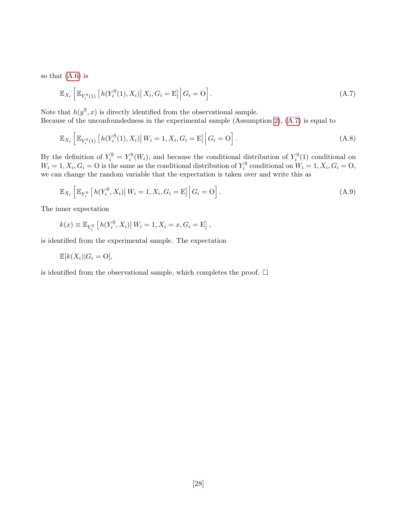so that  $(A.6)$  is

<span id="page-28-0"></span>
$$
\mathbb{E}_{X_i} \left[ \mathbb{E}_{Y_i^{\mathrm{S}}(1)} \left[ h(Y_i^{\mathrm{S}}(1), X_i) \middle| X_i, G_i = \mathrm{E} \right] \middle| G_i = \mathrm{O} \right]. \tag{A.7}
$$

Note that  $h(y^S, x)$  is directly identified from the observational sample. Because of the unconfoundedness in the experimental sample (Assumption [2\)](#page-15-3), [\(A.7\)](#page-28-0) is equal to

$$
\mathbb{E}_{X_i} \left[ \mathbb{E}_{Y_i^{\rm S}(1)} \left[ h(Y_i^{\rm S}(1), X_i) \right] W_i = 1, X_i, G_i = \mathbb{E} \right] \Big| G_i = O \Big]. \tag{A.8}
$$

By the definition of  $Y_i^{\rm S} = Y_i^{\rm S}(W_i)$ , and because the conditional distribution of  $Y_i^{\rm S}(1)$  conditional on  $W_i = 1, X_i, G_i = 0$  is the same as the conditional distribution of  $Y_i^{\text{S}}$  conditional on  $W_i = 1, X_i, G_i = 0$ , we can change the random variable that the expectation is taken over and write this as

$$
\mathbb{E}_{X_i} \left[ \mathbb{E}_{Y_i^{\mathcal{S}}} \left[ h(Y_i^{\mathcal{S}}, X_i) \middle| W_i = 1, X_i, G_i = \mathcal{E} \right] \middle| G_i = \mathcal{O} \right]. \tag{A.9}
$$

The inner expectation

$$
k(x) \equiv \mathbb{E}_{Y_i^{\rm S}}\left[h(Y_i^{\rm S}, X_i) \big| \, W_i = 1, X_i = x, G_i = \mathbf{E}\right],
$$

is identified from the experimental sample. The expectation

$$
\mathbb{E}[k(X_i)|G_i=\mathcal{O}],
$$

is identified from the observational sample, which completes the proof.  $\Box$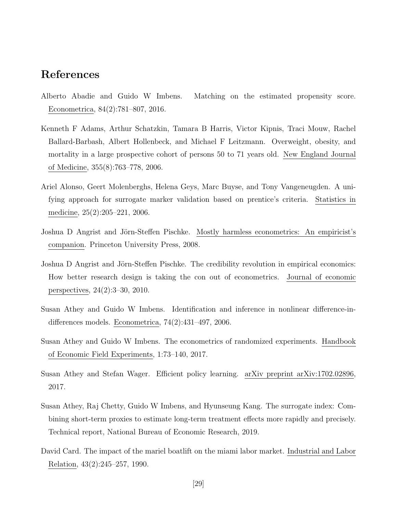# References

- <span id="page-29-8"></span>Alberto Abadie and Guido W Imbens. Matching on the estimated propensity score. Econometrica, 84(2):781–807, 2016.
- <span id="page-29-7"></span>Kenneth F Adams, Arthur Schatzkin, Tamara B Harris, Victor Kipnis, Traci Mouw, Rachel Ballard-Barbash, Albert Hollenbeck, and Michael F Leitzmann. Overweight, obesity, and mortality in a large prospective cohort of persons 50 to 71 years old. New England Journal of Medicine, 355(8):763–778, 2006.
- <span id="page-29-9"></span>Ariel Alonso, Geert Molenberghs, Helena Geys, Marc Buyse, and Tony Vangeneugden. A unifying approach for surrogate marker validation based on prentice's criteria. Statistics in medicine, 25(2):205–221, 2006.
- <span id="page-29-6"></span>Joshua D Angrist and Jörn-Steffen Pischke. Mostly harmless econometrics: An empiricist's companion. Princeton University Press, 2008.
- <span id="page-29-0"></span>Joshua D Angrist and Jörn-Steffen Pischke. The credibility revolution in empirical economics: How better research design is taking the con out of econometrics. Journal of economic perspectives, 24(2):3–30, 2010.
- <span id="page-29-3"></span>Susan Athey and Guido W Imbens. Identification and inference in nonlinear difference-indifferences models. Econometrica, 74(2):431–497, 2006.
- <span id="page-29-1"></span>Susan Athey and Guido W Imbens. The econometrics of randomized experiments. Handbook of Economic Field Experiments, 1:73–140, 2017.
- <span id="page-29-4"></span>Susan Athey and Stefan Wager. Efficient policy learning. arXiv preprint arXiv:1702.02896, 2017.
- <span id="page-29-2"></span>Susan Athey, Raj Chetty, Guido W Imbens, and Hyunseung Kang. The surrogate index: Combining short-term proxies to estimate long-term treatment effects more rapidly and precisely. Technical report, National Bureau of Economic Research, 2019.
- <span id="page-29-5"></span>David Card. The impact of the mariel boatlift on the miami labor market. Industrial and Labor Relation, 43(2):245–257, 1990.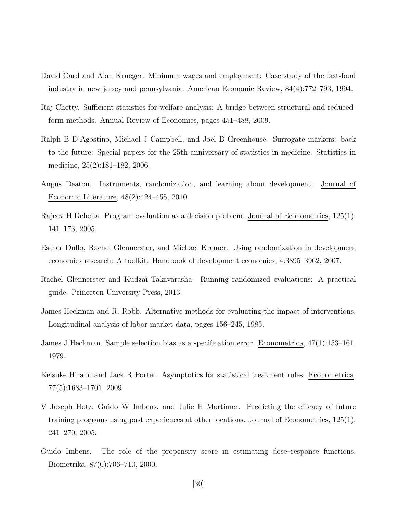- <span id="page-30-10"></span>David Card and Alan Krueger. Minimum wages and employment: Case study of the fast-food industry in new jersey and pennsylvania. American Economic Review, 84(4):772–793, 1994.
- <span id="page-30-2"></span>Raj Chetty. Sufficient statistics for welfare analysis: A bridge between structural and reducedform methods. Annual Review of Economics, pages 451–488, 2009.
- <span id="page-30-11"></span>Ralph B D'Agostino, Michael J Campbell, and Joel B Greenhouse. Surrogate markers: back to the future: Special papers for the 25th anniversary of statistics in medicine. Statistics in medicine, 25(2):181–182, 2006.
- <span id="page-30-6"></span>Angus Deaton. Instruments, randomization, and learning about development. Journal of Economic Literature, 48(2):424–455, 2010.
- <span id="page-30-7"></span>Rajeev H Dehejia. Program evaluation as a decision problem. Journal of Econometrics, 125(1): 141–173, 2005.
- <span id="page-30-0"></span>Esther Duflo, Rachel Glennerster, and Michael Kremer. Using randomization in development economics research: A toolkit. Handbook of development economics, 4:3895–3962, 2007.
- <span id="page-30-1"></span>Rachel Glennerster and Kudzai Takavarasha. Running randomized evaluations: A practical guide. Princeton University Press, 2013.
- <span id="page-30-5"></span>James Heckman and R. Robb. Alternative methods for evaluating the impact of interventions. Longitudinal analysis of labor market data, pages 156–245, 1985.
- <span id="page-30-4"></span>James J Heckman. Sample selection bias as a specification error. Econometrica, 47(1):153–161, 1979.
- <span id="page-30-8"></span>Keisuke Hirano and Jack R Porter. Asymptotics for statistical treatment rules. Econometrica, 77(5):1683–1701, 2009.
- <span id="page-30-3"></span>V Joseph Hotz, Guido W Imbens, and Julie H Mortimer. Predicting the efficacy of future training programs using past experiences at other locations. Journal of Econometrics, 125(1): 241–270, 2005.
- <span id="page-30-9"></span>Guido Imbens. The role of the propensity score in estimating dose–response functions. Biometrika, 87(0):706–710, 2000.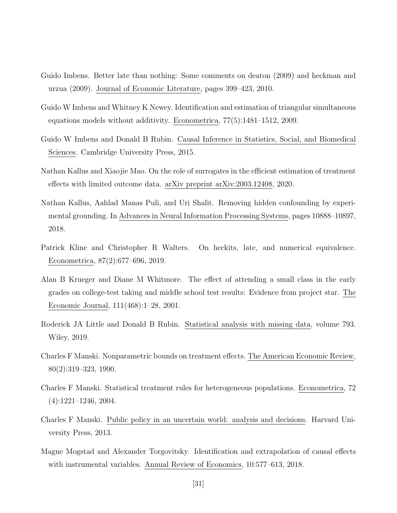- <span id="page-31-5"></span>Guido Imbens. Better late than nothing: Some comments on deaton (2009) and heckman and urzua (2009). Journal of Economic Literature, pages 399–423, 2010.
- <span id="page-31-4"></span>Guido W Imbens and Whitney K Newey. Identification and estimation of triangular simultaneous equations models without additivity. Econometrica, 77(5):1481–1512, 2009.
- <span id="page-31-3"></span>Guido W Imbens and Donald B Rubin. Causal Inference in Statistics, Social, and Biomedical Sciences. Cambridge University Press, 2015.
- <span id="page-31-1"></span>Nathan Kallus and Xiaojie Mao. On the role of surrogates in the efficient estimation of treatment effects with limited outcome data. arXiv preprint arXiv:2003.12408, 2020.
- <span id="page-31-2"></span>Nathan Kallus, Aahlad Manas Puli, and Uri Shalit. Removing hidden confounding by experimental grounding. In Advances in Neural Information Processing Systems, pages 10888–10897, 2018.
- <span id="page-31-8"></span>Patrick Kline and Christopher R Walters. On heckits, late, and numerical equivalence. Econometrica, 87(2):677–696, 2019.
- <span id="page-31-0"></span>Alan B Krueger and Diane M Whitmore. The effect of attending a small class in the early grades on college-test taking and middle school test results: Evidence from project star. The Economic Journal, 111(468):1–28, 2001.
- <span id="page-31-7"></span>Roderick JA Little and Donald B Rubin. Statistical analysis with missing data, volume 793. Wiley, 2019.
- <span id="page-31-10"></span>Charles F Manski. Nonparametric bounds on treatment effects. The American Economic Review, 80(2):319–323, 1990.
- <span id="page-31-9"></span>Charles F Manski. Statistical treatment rules for heterogeneous populations. Econometrica, 72 (4):1221–1246, 2004.
- <span id="page-31-6"></span>Charles F Manski. Public policy in an uncertain world: analysis and decisions. Harvard University Press, 2013.
- <span id="page-31-11"></span>Magne Mogstad and Alexander Torgovitsky. Identification and extrapolation of causal effects with instrumental variables. Annual Review of Economics, 10:577–613, 2018.